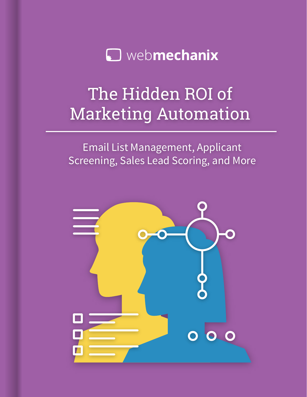

# The Hidden ROI of Marketing Automation

Email List Management, Applicant Screening, Sales Lead Scoring, and More

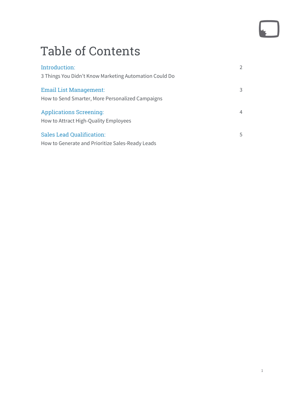# Table of Contents

| Introduction:                                          |   |
|--------------------------------------------------------|---|
| 3 Things You Didn't Know Marketing Automation Could Do |   |
| Email List Management:                                 |   |
| How to Send Smarter, More Personalized Campaigns       |   |
| <b>Applications Screening:</b>                         | 4 |
| How to Attract High-Quality Employees                  |   |
| Sales Lead Qualification:                              | 5 |
| How to Generate and Prioritize Sales-Ready Leads       |   |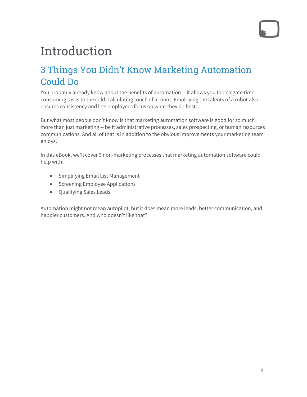# Introduction

## 3 Things You Didn't Know Marketing Automation Could Do

You probably already know about the benefits of automation -- it allows you to delegate timeconsuming tasks to the cold, calculating touch of a robot. Employing the talents of a robot also ensures consistency and lets employees focus on what they do best.

But what most people don't know is that marketing automation software is good for so much more than just marketing -- be it administrative processes, sales prospecting, or human resources communications. And all of that is in addition to the obvious improvements your marketing team enjoys.

In this eBook, we'll cover 3 non-marketing processes that marketing automation software could help with:

- Simplifying Email List Management
- Screening Employee Applications
- Qualifying Sales Leads

Automation might not mean autopilot, but it does mean more leads, better communication, and happier customers. And who doesn't like that?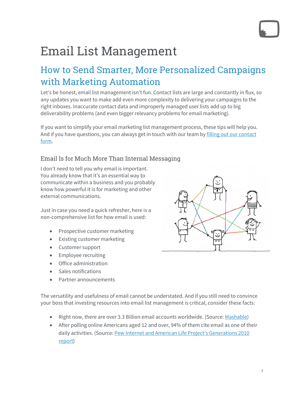# Email List Management

## How to Send Smarter, More Personalized Campaigns with Marketing Automation

Let's be honest, email list management isn't fun. Contact lists are large and constantly in flux, so any updates you want to make add even more complexity to delivering your campaigns to the right inboxes. Inaccurate contact data and improperly managed user lists add up to big deliverability problems (and even bigger relevancy problems for email marketing).

If you want to simplify your email marketing list management process, these tips will help you. And if you have questions, you can always get in touch with our team by filling out our contact [form.](https://www.webmechanix.com/contact/?utm_campaign=Marketing%20Automation%20Campaign&utm_source=EBO%20Hidden%20ROI&utm_medium=referral&utm_content=first%20article)

### Email Is for Much More Than Internal Messaging

I don't need to tell you why email is important. You already know that it's an essential way to communicate within a business and you probably know how powerful it is for marketing and other external communications.

Just in case you need a quick refresher, here is a non-comprehensive list for how email is used:

- Prospective customer marketing
- Existing customer marketing
- Customer support
- Employee recruiting
- Office administration
- Sales notifications
- Partner announcements



The versatility and usefulness of email cannot be understated. And if you still need to convince your boss that investing resources into email list management is critical, consider these facts:

- Right now, there are over 3.3 Billion email accounts worldwide. (Source[: Mashable\)](http://mashable.com/2012/11/27/email-stats-infographic/)
- After polling online Americans aged 12 and over, 94% of them cite email as one of their daily activities. (Source[: Pew Internet and American Life Project's Generations 2010](http://www.pewinternet.org/%7E/media/Files/Reports/2010/PIP_Generations_and_Tech10.pdf)  [report\)](http://www.pewinternet.org/%7E/media/Files/Reports/2010/PIP_Generations_and_Tech10.pdf)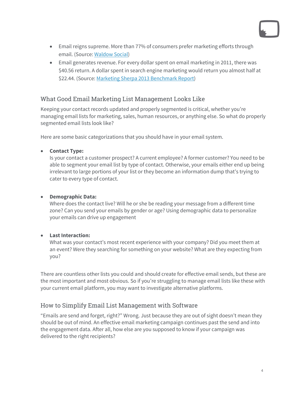- 
- Email reigns supreme. More than 77% of consumers prefer marketing efforts through email. (Source: [Waldow Social\)](http://waldowsocial.com/email-marketing-is-far-from-dead/)
- Email generates revenue. For every dollar spent on email marketing in 2011, there was \$40.56 return. A dollar spent in search engine marketing would return you almost half at \$22.44. (Source[: Marketing Sherpa 2013 Benchmark Report\)](https://www.marketingsherpa.com/article/excerpt/free-excerpt-email-marketing-benchmark-2013)

### What Good Email Marketing List Management Looks Like

Keeping your contact records updated and properly segmented is critical, whether you're managing email lists for marketing, sales, human resources, or anything else. So what do properly segmented email lists look like?

Here are some basic categorizations that you should have in your email system.

### • **Contact Type:**

Is your contact a customer prospect? A current employee? A former customer? You need to be able to segment your email list by type of contact. Otherwise, your emails either end up being irrelevant to large portions of your list or they become an information dump that's trying to cater to every type of contact.

### • **Demographic Data:**

Where does the contact live? Will he or she be reading your message from a different time zone? Can you send your emails by gender or age? Using demographic data to personalize your emails can drive up engagement

### • **Last Interaction:**

What was your contact's most recent experience with your company? Did you meet them at an event? Were they searching for something on your website? What are they expecting from you?

There are countless other lists you could and should create for effective email sends, but these are the most important and most obvious. So if you're struggling to manage email lists like these with your current email platform, you may want to investigate alternative platforms.

### How to Simplify Email List Management with Software

"Emails are send and forget, right?" Wrong. Just because they are out of sight doesn't mean they should be out of mind. An effective email marketing campaign continues past the send and into the engagement data. After all, how else are you supposed to know if your campaign was delivered to the right recipients?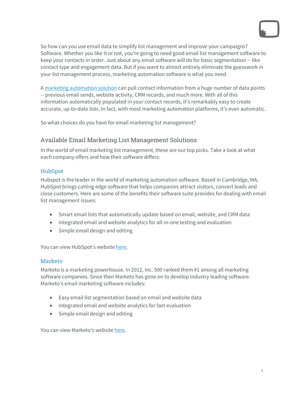So how can you use email data to simplify list management and improve your campaigns? Software. Whether you like it or not, you're going to need good email list management software to keep your contacts in order. Just about any email software will do for basic segmentation -- like contact type and engagement data. But if you want to almost entirely eliminate the guesswork in your list management process, marketing automation software is what you need.

[A marketing automation solution](https://www.webmechanix.com/marketing-automation-consulting/?utm_campaign=Marketing%20Automation%20Campaign&utm_source=EBO%20Hidden%20ROI&utm_medium=referral&utm_content=first%20article) can pull contact information from a huge number of data points -- previous email sends, website activity, CRM records, and much more. With all of this information automatically populated in your contact records, it's remarkably easy to create accurate, up-to-date lists. In fact, with most marketing automation platforms, it's even automatic.

So what choices do you have for email marketing list management?

### Available Email Marketing List Management Solutions

In the world of email marketing list management, these are our top picks. Take a look at what each company offers and how their software differs:

### HubSpot

Hubspot is the leader in the world of marketing automation software. Based in Cambridge, MA, HubSpot brings cutting edge software that helps companies attract visitors, convert leads and close customers. Here are some of the benefits their software suite provides for dealing with email list management issues:

- Smart email lists that automatically update based on email, website, and CRM data
- Integrated email and website analytics for all-in-one testing and evaluation
- Simple email design and editing

You can view HubSpot's websit[e here.](http://www.hubspot.com/)

### Marketo

Marketo is a marketing powerhouse. In 2012, Inc. 500 ranked them #1 among all marketing software companies. Since then Marketo has gone on to develop industry leading software. Marketo's email marketing software includes:

- Easy email list segmentation based on email and website data
- Integrated email and website analytics for fast evaluation
- Simple email design and editing

You can view Marketo's websit[e here.](http://www.marketo.com/)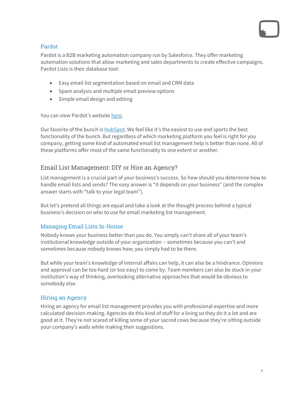### Pardot

Pardot is a B2B marketing automation company run by Salesforce. They offer marketing automation solutions that allow marketing and sales departments to create effective campaigns. Pardot Lists is their database tool:

- Easy email list segmentation based on email and CRM data
- Spam analysis and multiple email preview options
- Simple email design and editing

You can view Pardot's website [here.](http://www.pardot.com/)

Our favorite of the bunch is [HubSpot.](https://www.webmechanix.com/hubspot-consultants-baltimore/?utm_campaign=Marketing%20Automation%20Campaign&utm_source=EBO%20Hidden%20ROI&utm_medium=referral&utm_content=first%20article) We feel like it's the easiest to use and sports the best functionality of the bunch. But regardless of which marketing platform you feel is right for you company, getting some kind of automated email list management help is better than none. All of these platforms offer most of the same functionality to one extent or another.

### Email List Management: DIY or Hire an Agency?

List management is a crucial part of your business's success. So how should you determine how to handle email lists and sends? The easy answer is "it depends on your business" (and the complex answer starts with "talk to your legal team").

But let's pretend all things are equal and take a look at the thought process behind a typical business's decision on who to use for email marketing list management.

### Managing Email Lists In-House

Nobody knows your business better than you do. You simply can't share all of your team's institutional knowledge outside of your organization -- sometimes because you can't and sometimes because nobody knows how; you simply had to be there.

But while your team's knowledge of internal affairs can help, it can also be a hindrance. Opinions and approval can be too hard (or too easy) to come by. Team members can also be stuck in your institution's way of thinking, overlooking alternative approaches that would be obvious to somebody else.

### Hiring an Agency

Hiring an agency for email list management provides you with professional expertise and more calculated decision-making. Agencies do this kind of stuff for a living so they do it a lot and are good at it. They're not scared of killing some of your sacred cows because they're sitting outside your company's walls while making their suggestions.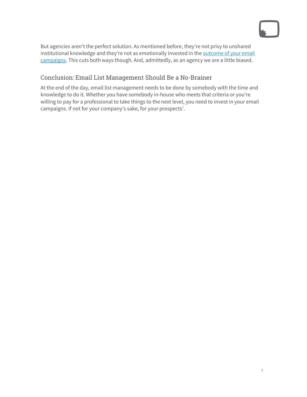But agencies aren't the perfect solution. As mentioned before, they're not privy to unshared institutional knowledge and they're not as emotionally invested in the outcome of your email [campaigns.](https://www.webmechanix.com/multi-channel-conversion-reports-how-to-tell-marketing-channels/?utm_campaign=Marketing%20Automation%20Campaign&utm_source=EBO%20Hidden%20ROI&utm_medium=referral&utm_content=first%20article) This cuts both ways though. And, admittedly, as an agency we are a little biased.

### Conclusion: Email List Management Should Be a No-Brainer

At the end of the day, email list management needs to be done by somebody with the time and knowledge to do it. Whether you have somebody in-house who meets that criteria or you're willing to pay for a professional to take things to the next level, you need to invest in your email campaigns. If not for your company's sake, for your prospects'.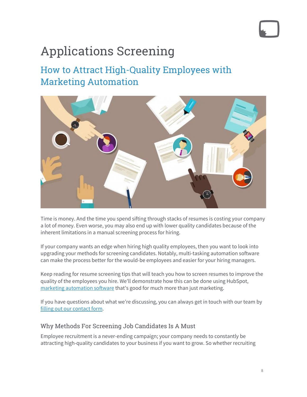# Applications Screening

## How to Attract High-Quality Employees with Marketing Automation



Time is money. And the time you spend sifting through stacks of resumes is costing your company a lot of money. Even worse, you may also end up with lower quality candidates because of the inherent limitations in a manual screening process for hiring.

If your company wants an edge when hiring high quality employees, then you want to look into upgrading your methods for screening candidates. Notably, multi-tasking automation software can make the process better for the would-be employees and easier for your hiring managers.

Keep reading for resume screening tips that will teach you how to screen resumes to improve the quality of the employees you hire. We'll demonstrate how this can be done using HubSpot, [marketing automation software](https://www.webmechanix.com/marketing-automation-consulting/?utm_campaign=Marketing%20Automation%20Campaign&utm_source=EBO%20Hidden%20ROI&utm_medium=referral&utm_content=second%20article) that's good for much more than just marketing.

If you have questions about what we're discussing, you can always get in touch with our team by [filling out our contact form.](https://www.webmechanix.com/contact/?utm_campaign=Marketing%20Automation%20Campaign&utm_source=EBO%20Hidden%20ROI&utm_medium=referral&utm_content=second%20article)

### Why Methods For Screening Job Candidates Is A Must

Employee recruitment is a never-ending campaign; your company needs to constantly be attracting high-quality candidates to your business if you want to grow. So whether recruiting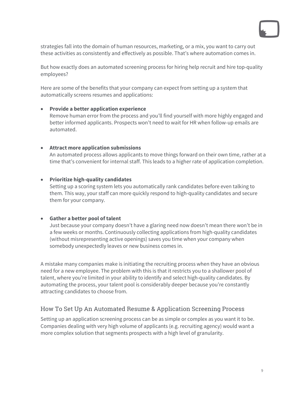strategies fall into the domain of human resources, marketing, or a mix, you want to carry out these activities as consistently and effectively as possible. That's where automation comes in.

But how exactly does an automated screening process for hiring help recruit and hire top-quality employees?

Here are some of the benefits that your company can expect from setting up a system that automatically screens resumes and applications:

### • **Provide a better application experience**

Remove human error from the process and you'll find yourself with more highly engaged and better informed applicants. Prospects won't need to wait for HR when follow-up emails are automated.

### • **Attract more application submissions**

An automated process allows applicants to move things forward on their own time, rather at a time that's convenient for internal staff. This leads to a higher rate of application completion.

### • **Prioritize high-quality candidates**

Setting up a scoring system lets you automatically rank candidates before even talking to them. This way, your staff can more quickly respond to high-quality candidates and secure them for your company.

### • **Gather a better pool of talent**

Just because your company doesn't have a glaring need now doesn't mean there won't be in a few weeks or months. Continuously collecting applications from high-quality candidates (without misrepresenting active openings) saves you time when your company when somebody unexpectedly leaves or new business comes in.

A mistake many companies make is initiating the recruiting process when they have an obvious need for a new employee. The problem with this is that it restricts you to a shallower pool of talent, where you're limited in your ability to identify and select high-quality candidates. By automating the process, your talent pool is considerably deeper because you're constantly attracting candidates to choose from.

### How To Set Up An Automated Resume & Application Screening Process

Setting up an application screening process can be as simple or complex as you want it to be. Companies dealing with very high volume of applicants (e.g. recruiting agency) would want a more complex solution that segments prospects with a high level of granularity.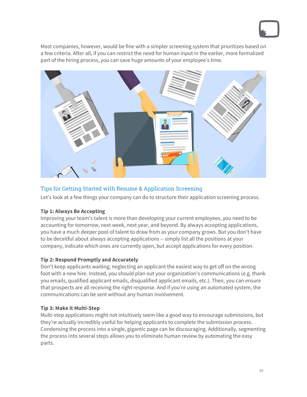Most companies, however, would be fine with a simpler screening system that prioritizes based on a few criteria. After all, if you can restrict the need for human input in the earlier, more formalized part of the hiring process, you can save huge amounts of your employee's time.



### Tips for Getting Started with Resume & Application Screening

Let's look at a few things your company can do to structure their application screening process.

### **Tip 1: Always Be Accepting**

Improving your team's talent is more than developing your current employees, you need to be accounting for tomorrow, next week, next year, and beyond. By always accepting applications, you have a much deeper pool of talent to draw from as your company grows. But you don't have to be deceitful about always accepting applications -- simply list all the positions at your company, indicate which ones are currently open, but accept applications for every position.

### **Tip 2: Respond Promptly and Accurately**

Don't keep applicants waiting; neglecting an applicant the easiest way to get off on the wrong foot with a new hire. Instead, you should plan out your organization's communications (e.g. thank you emails, qualified applicant emails, disqualified applicant emails, etc.). Then, you can ensure that prospects are all receiving the right response. And if you're using an automated system, the communications can be sent without any human involvement.

### **Tip 3: Make it Multi-Step**

Multi-step applications might not intuitively seem like a good way to encourage submissions, but they're actually incredibly useful for helping applicants to complete the submission process. Condensing the process into a single, gigantic page can be discouraging. Additionally, segmenting the process into several steps allows you to eliminate human review by automating the easy parts.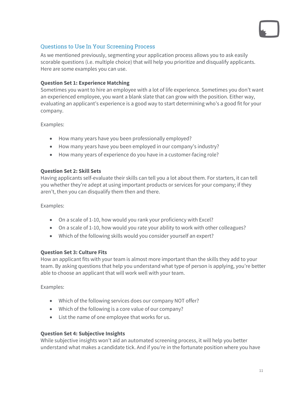### Questions to Use In Your Screening Process

As we mentioned previously, segmenting your application process allows you to ask easily scorable questions (i.e. multiple choice) that will help you prioritize and disqualify applicants. Here are some examples you can use.

### **Question Set 1: Experience Matching**

Sometimes you want to hire an employee with a lot of life experience. Sometimes you don't want an experienced employee, you want a blank slate that can grow with the position. Either way, evaluating an applicant's experience is a good way to start determining who's a good fit for your company.

Examples:

- How many years have you been professionally employed?
- How many years have you been employed in our company's industry?
- How many years of experience do you have in a customer-facing role?

### **Question Set 2: Skill Sets**

Having applicants self-evaluate their skills can tell you a lot about them. For starters, it can tell you whether they're adept at using important products or services for your company; if they aren't, then you can disqualify them then and there.

Examples:

- On a scale of 1-10, how would you rank your proficiency with Excel?
- On a scale of 1-10, how would you rate your ability to work with other colleagues?
- Which of the following skills would you consider yourself an expert?

### **Question Set 3: Culture Fits**

How an applicant fits with your team is almost more important than the skills they add to your team. By asking questions that help you understand what type of person is applying, you're better able to choose an applicant that will work well with your team.

Examples:

- Which of the following services does our company NOT offer?
- Which of the following is a core value of our company?
- List the name of one employee that works for us.

### **Question Set 4: Subjective Insights**

While subjective insights won't aid an automated screening process, it will help you better understand what makes a candidate tick. And if you're in the fortunate position where you have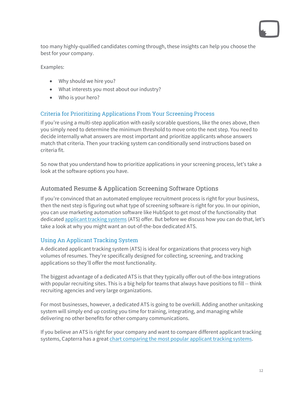too many highly-qualified candidates coming through, these insights can help you choose the best for your company.

Examples:

- Why should we hire you?
- What interests you most about our industry?
- Who is your hero?

### Criteria for Prioritizing Applications From Your Screening Process

If you're using a multi-step application with easily scorable questions, like the ones above, then you simply need to determine the minimum threshold to move onto the next step. You need to decide internally what answers are most important and prioritize applicants whose answers match that criteria. Then your tracking system can conditionally send instructions based on criteria fit.

So now that you understand how to prioritize applications in your screening process, let's take a look at the software options you have.

### Automated Resume & Application Screening Software Options

If you're convinced that an automated employee recruitment process is right for your business, then the next step is figuring out what type of screening software is right for you. In our opinion, you can use marketing automation software like HubSpot to get most of the functionality that dedicate[d applicant tracking systems](https://en.wikipedia.org/wiki/Applicant_tracking_system) (ATS) offer. But before we discuss how you can do that, let's take a look at why you might want an out-of-the-box dedicated ATS.

### Using An Applicant Tracking System

A dedicated applicant tracking system (ATS) is ideal for organizations that process very high volumes of resumes. They're specifically designed for collecting, screening, and tracking applications so they'll offer the most functionality.

The biggest advantage of a dedicated ATS is that they typically offer out-of-the-box integrations with popular recruiting sites. This is a big help for teams that always have positions to fill -- think recruiting agencies and very large organizations.

For most businesses, however, a dedicated ATS is going to be overkill. Adding another unitasking system will simply end up costing you time for training, integrating, and managing while delivering no other benefits for other company communications.

If you believe an ATS is right for your company and want to compare different applicant tracking systems, Capterra has a grea[t chart comparing the most popular applicant tracking systems.](http://www.capterra.com/applicant-tracking-software/system-reviews)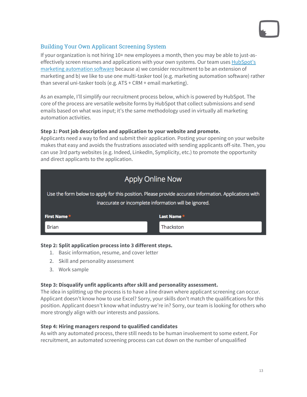### Building Your Own Applicant Screening System

If your organization is not hiring 10+ new employees a month, then you may be able to just-aseffectively screen resumes and applications with your own systems. Our team uses [HubSpot's](https://www.webmechanix.com/hubspot-consultants-baltimore/?utm_campaign=Marketing%20Automation%20Campaign&utm_source=EBO%20Hidden%20ROI&utm_medium=referral&utm_content=second%20article)  [marketing automation software](https://www.webmechanix.com/hubspot-consultants-baltimore/?utm_campaign=Marketing%20Automation%20Campaign&utm_source=EBO%20Hidden%20ROI&utm_medium=referral&utm_content=second%20article) because a) we consider recruitment to be an extension of marketing and b) we like to use one multi-tasker tool (e.g. marketing automation software) rather than several uni-tasker tools (e.g. ATS + CRM + email marketing).

As an example, I'll simplify our recruitment process below, which is powered by HubSpot. The core of the process are versatile website forms by HubSpot that collect submissions and send emails based on what was input; it's the same methodology used in virtually all marketing automation activities.

### **Step 1: Post job description and application to your website and promote.**

Applicants need a way to find and submit their application. Posting your opening on your website makes that easy and avoids the frustrations associated with sending applicants off-site. Then, you can use 3rd party websites (e.g. Indeed, LinkedIn, Symplicity, etc.) to promote the opportunity and direct applicants to the application.

## Apply Online Now

Use the form below to apply for this position. Please provide accurate information. Applications with inaccurate or incomplete information will be ignored.

| First Name * | Last Name*  |
|--------------|-------------|
| Brian        | l Thackston |

### **Step 2: Split application process into 3 different steps.**

- 1. Basic information, resume, and cover letter
- 2. Skill and personality assessment
- 3. Work sample

### **Step 3: Disqualify unfit applicants after skill and personality assessment.**

The idea in splitting up the process is to have a line drawn where applicant screening can occur. Applicant doesn't know how to use Excel? Sorry, your skills don't match the qualifications for this position. Applicant doesn't know what industry we're in? Sorry, our team is looking for others who more strongly align with our interests and passions.

### **Step 4: Hiring managers respond to qualified candidates**

As with any automated process, there still needs to be human involvement to some extent. For recruitment, an automated screening process can cut down on the number of unqualified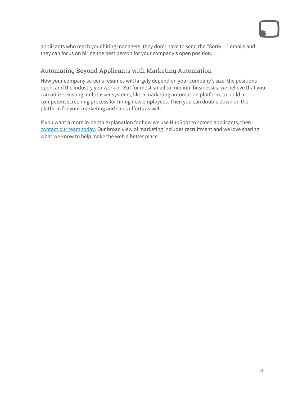

applicants who reach your hiring managers; they don't have to send the "Sorry…" emails and they can focus on hiring the best person for your company's open position.

### Automating Beyond Applicants with Marketing Automation

How your company screens resumes will largely depend on your company's size, the positions open, and the industry you work in. But for most small to medium businesses, we believe that you can utilize existing multitasker systems, like a marketing automation platform, to build a competent screening process for hiring new employees. Then you can double down on the platform for your marketing and sales efforts as well.

If you want a more in-depth explanation for how we use HubSpot to screen applicants, then [contact our team today.](https://www.webmechanix.com/contact/?utm_campaign=Marketing%20Automation%20Campaign&utm_source=EBO%20Hidden%20ROI&utm_medium=referral&utm_content=second%20article) Our broad view of marketing includes recruitment and we love sharing what we know to help make the web a better place.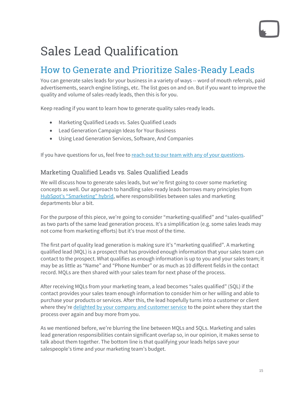# Sales Lead Qualification

## How to Generate and Prioritize Sales-Ready Leads

You can generate sales leads for your business in a variety of ways -- word of mouth referrals, paid advertisements, search engine listings, etc. The list goes on and on. But if you want to improve the quality and volume of sales-ready leads, then this is for you.

Keep reading if you want to learn how to generate quality sales-ready leads.

- Marketing Qualified Leads vs. Sales Qualified Leads
- Lead Generation Campaign Ideas for Your Business
- Using Lead Generation Services, Software, And Companies

If you have questions for us, feel free t[o reach out to our team with any of your questions.](https://www.webmechanix.com/contact/?utm_campaign=Marketing%20Automation%20Campaign&utm_source=EBO%20Hidden%20ROI&utm_medium=referral&utm_content=third%20article)

### Marketing Qualified Leads vs. Sales Qualified Leads

We will discuss how to generate sales leads, but we're first going to cover some marketing concepts as well. Our approach to handling sales-ready leads borrows many principles from [HubSpot's "Smarketing" hybrid,](http://blog.hubspot.com/marketing/definition-smarketing-under-100-words) where responsibilities between sales and marketing departments blur a bit.

For the purpose of this piece, we're going to consider "marketing-qualified" and "sales-qualified" as two parts of the same lead generation process. It's a simplification (e.g. some sales leads may not come from marketing efforts) but it's true most of the time.

The first part of quality lead generation is making sure it's "marketing qualified". A marketing qualified lead (MQL) is a prospect that has provided enough information that your sales team can contact to the prospect. What qualifies as enough information is up to you and your sales team; it may be as little as "Name" and "Phone Number" or as much as 10 different fields in the contact record. MQLs are then shared with your sales team for next phase of the process.

After receiving MQLs from your marketing team, a lead becomes "sales qualified" (SQL) if the contact provides your sales team enough information to consider him or her willing and able to purchase your products or services. After this, the lead hopefully turns into a customer or client where they'r[e delighted by your company and customer service](https://www.webmechanix.com/why-webmechanix-customer-success-manager/?utm_campaign=Marketing%20Automation%20Campaign&utm_source=EBO%20Hidden%20ROI&utm_medium=referral&utm_content=third%20article) to the point where they start the process over again and buy more from you.

As we mentioned before, we're blurring the line between MQLs and SQLs. Marketing and sales lead generation responsibilities contain significant overlap so, in our opinion, it makes sense to talk about them together. The bottom line is that qualifying your leads helps save your salespeople's time and your marketing team's budget.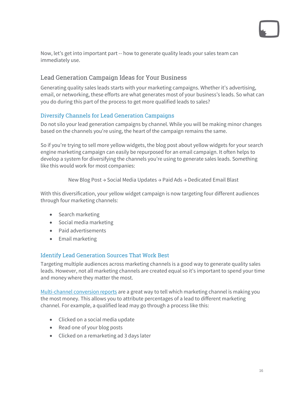Now, let's get into important part -- how to generate quality leads your sales team can immediately use.

### Lead Generation Campaign Ideas for Your Business

Generating quality sales leads starts with your marketing campaigns. Whether it's advertising, email, or networking, these efforts are what generates most of your business's leads. So what can you do during this part of the process to get more qualified leads to sales?

### Diversify Channels for Lead Generation Campaigns

Do not silo your lead generation campaigns by channel. While you will be making minor changes based on the channels you're using, the heart of the campaign remains the same.

So if you're trying to sell more yellow widgets, the blog post about yellow widgets for your search engine marketing campaign can easily be repurposed for an email campaign. It often helps to develop a system for diversifying the channels you're using to generate sales leads. Something like this would work for most companies:

New Blog Post → Social Media Updates → Paid Ads → Dedicated Email Blast

With this diversification, your yellow widget campaign is now targeting four different audiences through four marketing channels:

- Search marketing
- Social media marketing
- Paid advertisements
- Email marketing

### Identify Lead Generation Sources That Work Best

Targeting multiple audiences across marketing channels is a good way to generate quality sales leads. However, not all marketing channels are created equal so it's important to spend your time and money where they matter the most.

[Multi-channel conversion reports](https://www.webmechanix.com/multi-channel-conversion-reports-how-to-tell-marketing-channels/?utm_campaign=Marketing%20Automation%20Campaign&utm_source=EBO%20Hidden%20ROI&utm_medium=referral&utm_content=third%20article) are a great way to tell which marketing channel is making you the most money. This allows you to attribute percentages of a lead to different marketing channel. For example, a qualified lead may go through a process like this:

- Clicked on a social media update
- Read one of your blog posts
- Clicked on a remarketing ad 3 days later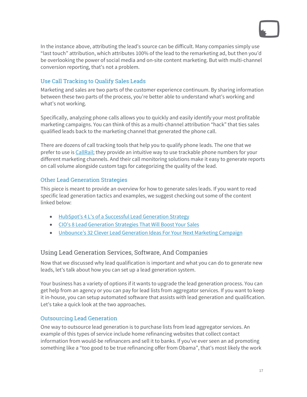

In the instance above, attributing the lead's source can be difficult. Many companies simply use "last touch" attribution, which attributes 100% of the lead to the remarketing ad, but then you'd be overlooking the power of social media and on-site content marketing. But with multi-channel conversion reporting, that's not a problem.

### Use Call Tracking to Qualify Sales Leads

Marketing and sales are two parts of the customer experience continuum. By sharing information between these two parts of the process, you're better able to understand what's working and what's not working.

Specifically, analyzing phone calls allows you to quickly and easily identify your most profitable marketing campaigns. You can think of this as a multi-channel attribution "hack" that ties sales qualified leads back to the marketing channel that generated the phone call.

There are dozens of call tracking tools that help you to qualify phone leads. The one that we prefer to use is [CallRail;](http://www.callrail.com/blog/agency-optimizes-clients-lead-qualification-strategy-with-callrail/) they provide an intuitive way to use trackable phone numbers for your different marketing channels. And their call monitoring solutions make it easy to generate reports on call volume alongside custom tags for categorizing the quality of the lead.

### Other Lead Generation Strategies

This piece is meant to provide an overview for how to generate sales leads. If you want to read specific lead generation tactics and examples, we suggest checking out some of the content linked below:

- [HubSpot's 4 L's of a Successful Lead Generation Strategy](http://blog.hubspot.com/marketing/lead-generation-strategy)
- [CIO's 8 Lead Generation Strategies That Will Boost Your Sales](http://www.cio.com/article/2884621/it-strategy/8-lead-generation-strategies-that-will-boost-your-sales.html)
- [Unbounce's 32 Clever Lead Generation Ideas For Your Next Marketing Campaign](http://unbounce.com/lead-generation/32-lead-generation-tactics/)

### Using Lead Generation Services, Software, And Companies

Now that we discussed why lead qualification is important and what you can do to generate new leads, let's talk about how you can set up a lead generation system.

Your business has a variety of options if it wants to upgrade the lead generation process. You can get help from an agency or you can pay for lead lists from aggregator services. If you want to keep it in-house, you can setup automated software that assists with lead generation and qualification. Let's take a quick look at the two approaches.

### Outsourcing Lead Generation

One way to outsource lead generation is to purchase lists from lead aggregator services. An example of this types of service include home refinancing websites that collect contact information from would-be refinancers and sell it to banks. If you've ever seen an ad promoting something like a "too good to be true refinancing offer from Obama", that's most likely the work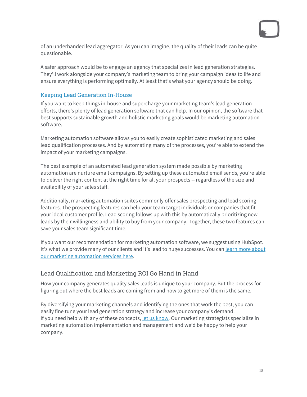of an underhanded lead aggregator. As you can imagine, the quality of their leads can be quite questionable.

A safer approach would be to engage an agency that specializes in lead generation strategies. They'll work alongside your company's marketing team to bring your campaign ideas to life and ensure everything is performing optimally. At least that's what your agency should be doing.

### Keeping Lead Generation In-House

If you want to keep things in-house and supercharge your marketing team's lead generation efforts, there's plenty of lead generation software that can help. In our opinion, the software that best supports sustainable growth and holistic marketing goals would be marketing automation software.

Marketing automation software allows you to easily create sophisticated marketing and sales lead qualification processes. And by automating many of the processes, you're able to extend the impact of your marketing campaigns.

The best example of an automated lead generation system made possible by marketing automation are nurture email campaigns. By setting up these automated email sends, you're able to deliver the right content at the right time for all your prospects -- regardless of the size and availability of your sales staff.

Additionally, marketing automation suites commonly offer sales prospecting and lead scoring features. The prospecting features can help your team target individuals or companies that fit your ideal customer profile. Lead scoring follows up with this by automatically prioritizing new leads by their willingness and ability to buy from your company. Together, these two features can save your sales team significant time.

If you want our recommendation for marketing automation software, we suggest using HubSpot. It's what we provide many of our clients and it's lead to huge successes. You ca[n learn more about](https://www.webmechanix.com/marketing-automation-consulting/?utm_campaign=Marketing%20Automation%20Campaign&utm_source=EBO%20Hidden%20ROI&utm_medium=referral&utm_content=third%20article)  [our marketing automation services here.](https://www.webmechanix.com/marketing-automation-consulting/?utm_campaign=Marketing%20Automation%20Campaign&utm_source=EBO%20Hidden%20ROI&utm_medium=referral&utm_content=third%20article)

### Lead Qualification and Marketing ROI Go Hand in Hand

How your company generates quality sales leads is unique to your company. But the process for figuring out where the best leads are coming from and how to get more of them is the same.

By diversifying your marketing channels and identifying the ones that work the best, you can easily fine tune your lead generation strategy and increase your company's demand. If you need help with any of these concepts, <u>let us know</u>. Our marketing strategists specialize in marketing automation implementation and management and we'd be happy to help your company.